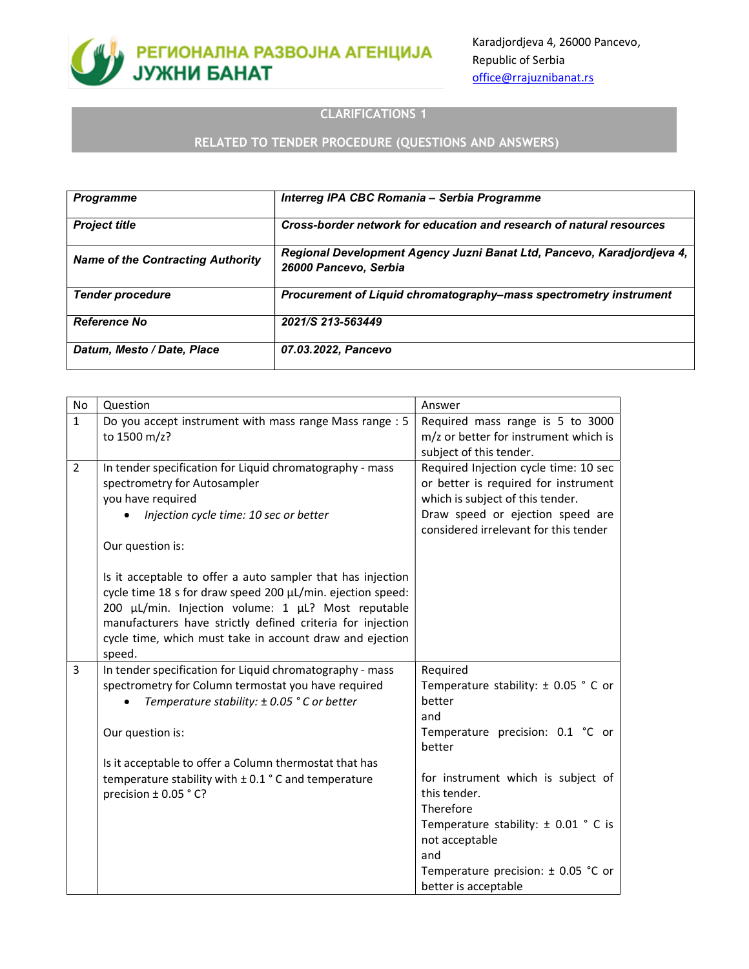

Karadjordjeva 4, 26000 Pancevo, Republic of Serbia office@rrajuznibanat.rs

### CLARIFICATIONS 1

### RELATED TO TENDER PROCEDURE (QUESTIONS AND ANSWERS)

| <b>Programme</b>                         | Interreg IPA CBC Romania - Serbia Programme                                                     |
|------------------------------------------|-------------------------------------------------------------------------------------------------|
| <b>Project title</b>                     | Cross-border network for education and research of natural resources                            |
| <b>Name of the Contracting Authority</b> | Regional Development Agency Juzni Banat Ltd, Pancevo, Karadjordjeva 4,<br>26000 Pancevo, Serbia |
| <b>Tender procedure</b>                  | Procurement of Liquid chromatography–mass spectrometry instrument                               |
| <b>Reference No</b>                      | 2021/S 213-563449                                                                               |
| Datum, Mesto / Date, Place               | 07.03.2022, Pancevo                                                                             |

| <b>No</b>      | Question                                                                                                                                                                                                                                                                                                                         | Answer                                                                                                                                                                                         |
|----------------|----------------------------------------------------------------------------------------------------------------------------------------------------------------------------------------------------------------------------------------------------------------------------------------------------------------------------------|------------------------------------------------------------------------------------------------------------------------------------------------------------------------------------------------|
| $\mathbf{1}$   | Do you accept instrument with mass range Mass range : 5<br>to 1500 m/z?                                                                                                                                                                                                                                                          | Required mass range is 5 to 3000<br>m/z or better for instrument which is<br>subject of this tender.                                                                                           |
| $\overline{2}$ | In tender specification for Liquid chromatography - mass<br>spectrometry for Autosampler<br>you have required<br>Injection cycle time: 10 sec or better<br>Our question is:                                                                                                                                                      | Required Injection cycle time: 10 sec<br>or better is required for instrument<br>which is subject of this tender.<br>Draw speed or ejection speed are<br>considered irrelevant for this tender |
|                | Is it acceptable to offer a auto sampler that has injection<br>cycle time 18 s for draw speed 200 µL/min. ejection speed:<br>200 µL/min. Injection volume: 1 µL? Most reputable<br>manufacturers have strictly defined criteria for injection<br>cycle time, which must take in account draw and ejection<br>speed.              |                                                                                                                                                                                                |
| 3              | In tender specification for Liquid chromatography - mass<br>spectrometry for Column termostat you have required<br>Temperature stability: ± 0.05 ° C or better<br>Our question is:<br>Is it acceptable to offer a Column thermostat that has<br>temperature stability with $\pm$ 0.1 ° C and temperature<br>precision ± 0.05 °C? | Required<br>Temperature stability: $\pm$ 0.05 ° C or<br>better<br>and<br>Temperature precision: 0.1 °C or<br>better<br>for instrument which is subject of<br>this tender.<br>Therefore         |
|                |                                                                                                                                                                                                                                                                                                                                  | Temperature stability: $\pm$ 0.01 ° C is<br>not acceptable<br>and<br>Temperature precision: $\pm$ 0.05 °C or<br>better is acceptable                                                           |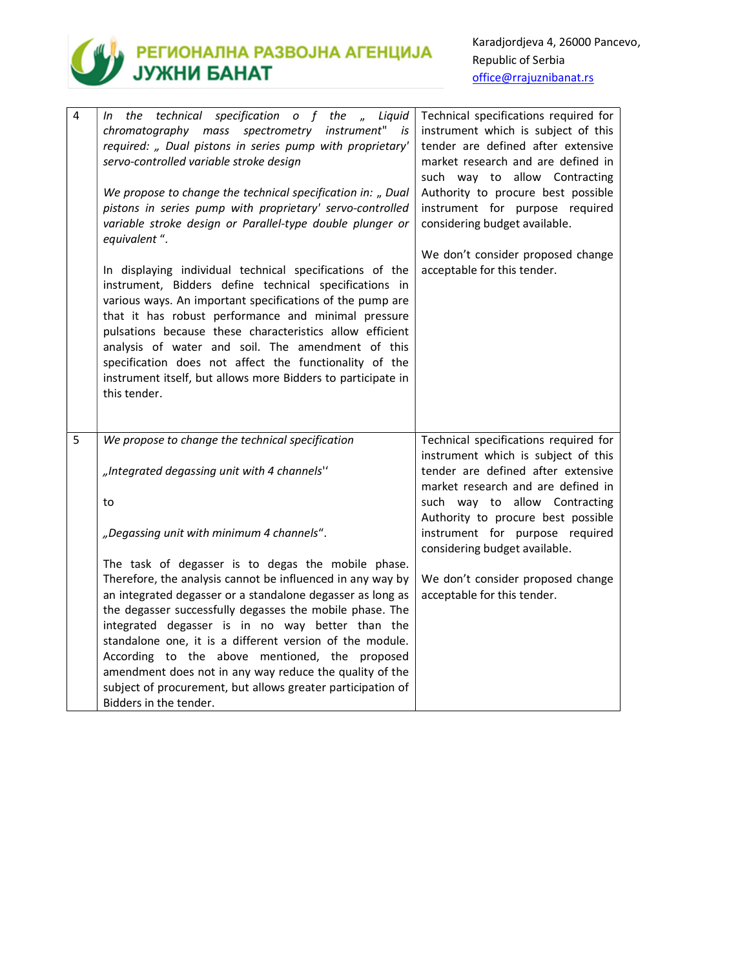

## **SANTA PETHOHAJIHA PA3BOJHA AFEHLIKIJA**<br>JY**XHI BAHAT**

Karadjordjeva 4, 26000 Pancevo, Republic of Serbia office@rrajuznibanat.rs

| 4 | the technical specification $o$ f the $n$<br>Liquid<br>In<br>chromatography mass spectrometry instrument"<br>is<br>required: " Dual pistons in series pump with proprietary'<br>servo-controlled variable stroke design<br>We propose to change the technical specification in: " Dual<br>pistons in series pump with proprietary' servo-controlled<br>variable stroke design or Parallel-type double plunger or                                                                                                  | Technical specifications required for<br>instrument which is subject of this<br>tender are defined after extensive<br>market research and are defined in<br>such way to allow Contracting<br>Authority to procure best possible<br>instrument for purpose required<br>considering budget available. |
|---|-------------------------------------------------------------------------------------------------------------------------------------------------------------------------------------------------------------------------------------------------------------------------------------------------------------------------------------------------------------------------------------------------------------------------------------------------------------------------------------------------------------------|-----------------------------------------------------------------------------------------------------------------------------------------------------------------------------------------------------------------------------------------------------------------------------------------------------|
|   | equivalent".<br>In displaying individual technical specifications of the<br>instrument, Bidders define technical specifications in<br>various ways. An important specifications of the pump are<br>that it has robust performance and minimal pressure<br>pulsations because these characteristics allow efficient<br>analysis of water and soil. The amendment of this<br>specification does not affect the functionality of the<br>instrument itself, but allows more Bidders to participate in<br>this tender. | We don't consider proposed change<br>acceptable for this tender.                                                                                                                                                                                                                                    |
| 5 | We propose to change the technical specification<br>"Integrated degassing unit with 4 channels"                                                                                                                                                                                                                                                                                                                                                                                                                   | Technical specifications required for<br>instrument which is subject of this<br>tender are defined after extensive                                                                                                                                                                                  |
|   | to                                                                                                                                                                                                                                                                                                                                                                                                                                                                                                                | market research and are defined in<br>such way to allow Contracting                                                                                                                                                                                                                                 |
|   | "Degassing unit with minimum 4 channels".                                                                                                                                                                                                                                                                                                                                                                                                                                                                         | Authority to procure best possible<br>instrument for purpose required<br>considering budget available.                                                                                                                                                                                              |
|   | The task of degasser is to degas the mobile phase.<br>Therefore, the analysis cannot be influenced in any way by<br>an integrated degasser or a standalone degasser as long as<br>the degasser successfully degasses the mobile phase. The<br>integrated degasser is in no way better than the<br>standalone one, it is a different version of the module.<br>According to the above mentioned, the proposed<br>amendment does not in any way reduce the quality of the                                           | We don't consider proposed change<br>acceptable for this tender.                                                                                                                                                                                                                                    |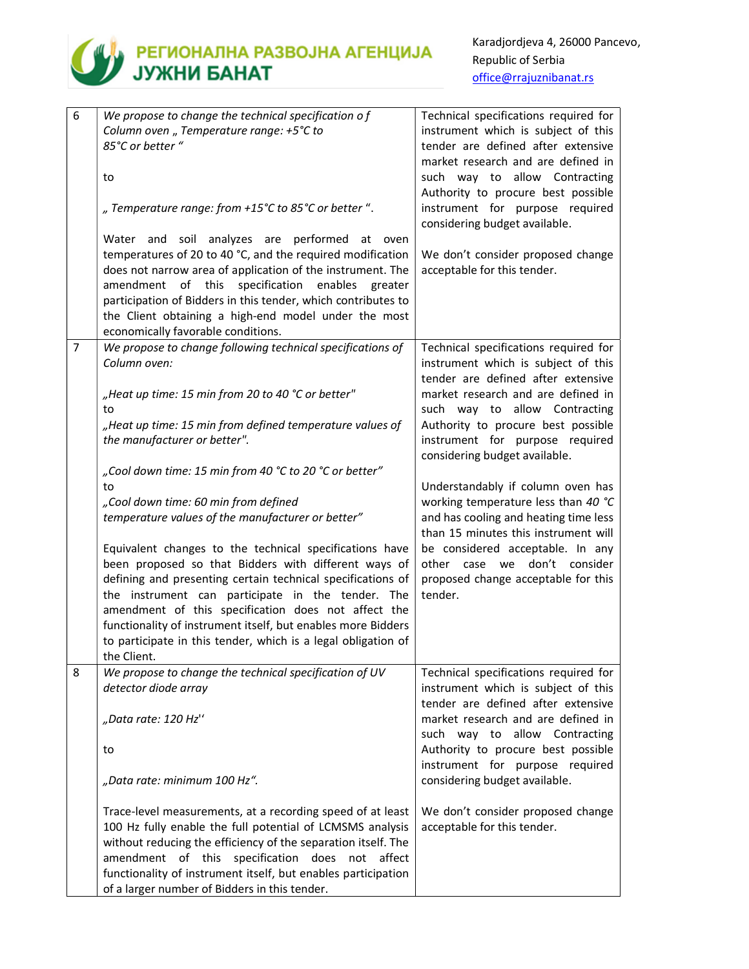

### **THE PETHOHANHA PA3BOJHA AFEHLINJA**

| 6              | We propose to change the technical specification of           | Technical specifications required for |
|----------------|---------------------------------------------------------------|---------------------------------------|
|                | Column oven "Temperature range: +5°C to                       | instrument which is subject of this   |
|                | 85°C or better "                                              | tender are defined after extensive    |
|                |                                                               | market research and are defined in    |
|                | to                                                            | such way to allow Contracting         |
|                |                                                               | Authority to procure best possible    |
|                | " Temperature range: from +15°C to 85°C or better ".          | instrument for purpose required       |
|                |                                                               |                                       |
|                |                                                               | considering budget available.         |
|                | Water and soil analyzes are performed at oven                 |                                       |
|                | temperatures of 20 to 40 °C, and the required modification    | We don't consider proposed change     |
|                | does not narrow area of application of the instrument. The    | acceptable for this tender.           |
|                | amendment of this specification<br>enables<br>greater         |                                       |
|                | participation of Bidders in this tender, which contributes to |                                       |
|                | the Client obtaining a high-end model under the most          |                                       |
|                | economically favorable conditions.                            |                                       |
| $\overline{7}$ | We propose to change following technical specifications of    | Technical specifications required for |
|                | Column oven:                                                  | instrument which is subject of this   |
|                |                                                               | tender are defined after extensive    |
|                | "Heat up time: 15 min from 20 to 40 °C or better"             | market research and are defined in    |
|                | to                                                            | such way to allow Contracting         |
|                | "Heat up time: 15 min from defined temperature values of      | Authority to procure best possible    |
|                | the manufacturer or better".                                  | instrument for purpose required       |
|                |                                                               | considering budget available.         |
|                | "Cool down time: 15 min from 40 °C to 20 °C or better"        |                                       |
|                | to                                                            | Understandably if column oven has     |
|                | "Cool down time: 60 min from defined                          | working temperature less than 40 °C   |
|                | temperature values of the manufacturer or better"             | and has cooling and heating time less |
|                |                                                               | than 15 minutes this instrument will  |
|                | Equivalent changes to the technical specifications have       | be considered acceptable. In any      |
|                |                                                               | don't consider                        |
|                | been proposed so that Bidders with different ways of          | other case we                         |
|                | defining and presenting certain technical specifications of   | proposed change acceptable for this   |
|                | the instrument can participate in the tender. The             | tender.                               |
|                | amendment of this specification does not affect the           |                                       |
|                | functionality of instrument itself, but enables more Bidders  |                                       |
|                | to participate in this tender, which is a legal obligation of |                                       |
|                | the Client.                                                   |                                       |
| 8              | We propose to change the technical specification of UV        | Technical specifications required for |
|                | detector diode array                                          | instrument which is subject of this   |
|                |                                                               | tender are defined after extensive    |
|                | "Data rate: 120 Hz"                                           | market research and are defined in    |
|                |                                                               | such way to allow Contracting         |
|                | to                                                            | Authority to procure best possible    |
|                |                                                               | instrument for purpose required       |
|                | "Data rate: minimum 100 Hz".                                  | considering budget available.         |
|                |                                                               |                                       |
|                | Trace-level measurements, at a recording speed of at least    | We don't consider proposed change     |
|                | 100 Hz fully enable the full potential of LCMSMS analysis     | acceptable for this tender.           |
|                | without reducing the efficiency of the separation itself. The |                                       |
|                | amendment of this specification<br>does<br>not<br>affect      |                                       |
|                | functionality of instrument itself, but enables participation |                                       |
|                | of a larger number of Bidders in this tender.                 |                                       |
|                |                                                               |                                       |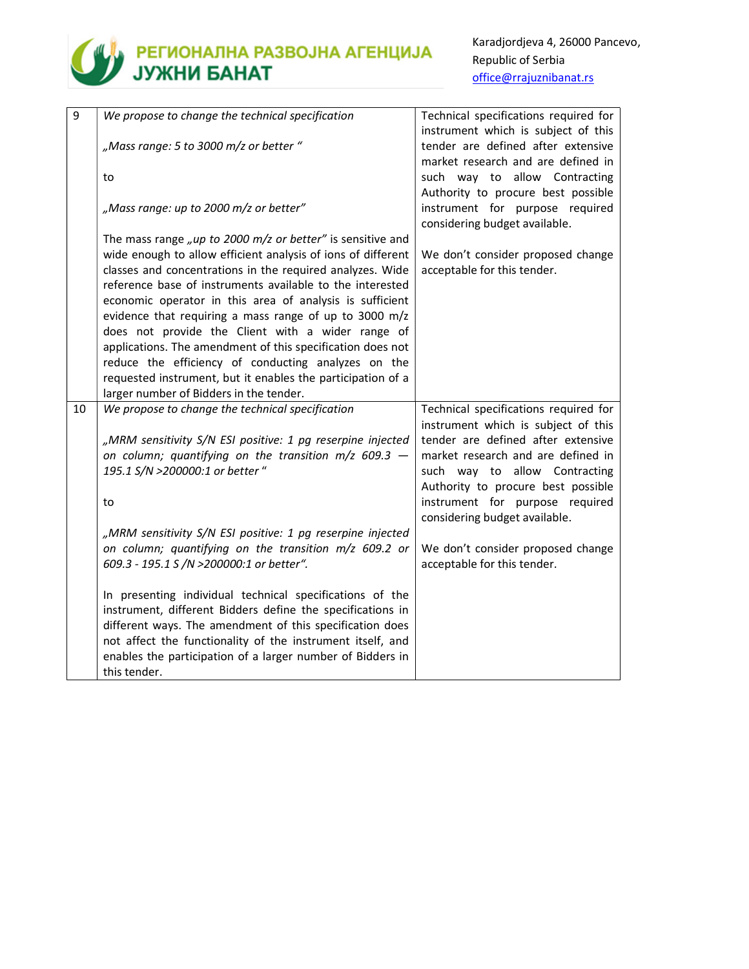## **THE REFIGHANNA PASBOJHA AFEHLINJA**<br>JY**XHIM BAHAT**

| 9  | We propose to change the technical specification             | Technical specifications required for<br>instrument which is subject of this                           |
|----|--------------------------------------------------------------|--------------------------------------------------------------------------------------------------------|
|    | "Mass range: 5 to 3000 m/z or better"                        | tender are defined after extensive                                                                     |
|    |                                                              | market research and are defined in                                                                     |
|    | to                                                           | such way to allow Contracting                                                                          |
|    | "Mass range: up to 2000 m/z or better"                       | Authority to procure best possible<br>instrument for purpose required<br>considering budget available. |
|    | The mass range "up to 2000 $m/z$ or better" is sensitive and |                                                                                                        |
|    | wide enough to allow efficient analysis of ions of different | We don't consider proposed change                                                                      |
|    | classes and concentrations in the required analyzes. Wide    | acceptable for this tender.                                                                            |
|    | reference base of instruments available to the interested    |                                                                                                        |
|    | economic operator in this area of analysis is sufficient     |                                                                                                        |
|    | evidence that requiring a mass range of up to 3000 m/z       |                                                                                                        |
|    | does not provide the Client with a wider range of            |                                                                                                        |
|    | applications. The amendment of this specification does not   |                                                                                                        |
|    | reduce the efficiency of conducting analyzes on the          |                                                                                                        |
|    | requested instrument, but it enables the participation of a  |                                                                                                        |
|    | larger number of Bidders in the tender.                      |                                                                                                        |
| 10 | We propose to change the technical specification             | Technical specifications required for<br>instrument which is subject of this                           |
|    | "MRM sensitivity S/N ESI positive: 1 pg reserpine injected   | tender are defined after extensive                                                                     |
|    | on column; quantifying on the transition $m/z$ 609.3 -       | market research and are defined in                                                                     |
|    | 195.1 S/N >200000:1 or better "                              | such way to allow Contracting                                                                          |
|    |                                                              | Authority to procure best possible                                                                     |
|    | to                                                           | instrument for purpose required                                                                        |
|    |                                                              | considering budget available.                                                                          |
|    | "MRM sensitivity S/N ESI positive: 1 pg reserpine injected   |                                                                                                        |
|    | on column; quantifying on the transition m/z 609.2 or        | We don't consider proposed change                                                                      |
|    | 609.3 - 195.1 S /N >200000:1 or better".                     | acceptable for this tender.                                                                            |
|    | In presenting individual technical specifications of the     |                                                                                                        |
|    | instrument, different Bidders define the specifications in   |                                                                                                        |
|    | different ways. The amendment of this specification does     |                                                                                                        |
|    | not affect the functionality of the instrument itself, and   |                                                                                                        |
|    | enables the participation of a larger number of Bidders in   |                                                                                                        |
|    | this tender.                                                 |                                                                                                        |